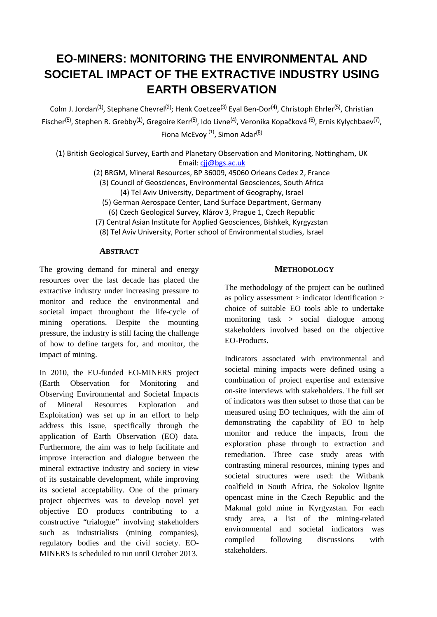# **EO-MINERS: MONITORING THE ENVIRONMENTAL AND SOCIETAL IMPACT OF THE EXTRACTIVE INDUSTRY USING EARTH OBSERVATION**

Colm J. Jordan<sup>(1)</sup>, Stephane Chevrel<sup>(2)</sup>; Henk Coetzee<sup>(3)</sup> Eyal Ben-Dor<sup>(4)</sup>, Christoph Ehrler<sup>(5)</sup>, Christian Fischer<sup>(5)</sup>, Stephen R. Grebby<sup>(1)</sup>, Gregoire Kerr<sup>(5)</sup>, Ido Livne<sup>(4)</sup>, Veronika Kopačková <sup>(6)</sup>, Ernis Kylychbaev<sup>(7)</sup>, Fiona McEvoy<sup>(1)</sup>, Simon Adar<sup>(8)</sup>

(1) British Geological Survey, Earth and Planetary Observation and Monitoring, Nottingham, UK Email: [cjj@bgs.ac.uk](mailto:cjj@bgs.ac.uk)

(2) BRGM, Mineral Resources, BP 36009, 45060 Orleans Cedex 2, France

(3) Council of Geosciences, Environmental Geosciences, South Africa

- (4) Tel Aviv University, Department of Geography, Israel
- (5) German Aerospace Center, Land Surface Department, Germany
	- (6) Czech Geological Survey, Klárov 3, Prague 1, Czech Republic

(7) Central Asian Institute for Applied Geosciences, Bishkek, Kyrgyzstan

(8) Tel Aviv University, Porter school of Environmental studies, Israel

#### **ABSTRACT**

The growing demand for mineral and energy resources over the last decade has placed the extractive industry under increasing pressure to monitor and reduce the environmental and societal impact throughout the life-cycle of mining operations. Despite the mounting pressure, the industry is still facing the challenge of how to define targets for, and monitor, the impact of mining.

In 2010, the EU-funded EO-MINERS project (Earth Observation for Monitoring and Observing Environmental and Societal Impacts of Mineral Resources Exploration and Exploitation) was set up in an effort to help address this issue, specifically through the application of Earth Observation (EO) data. Furthermore, the aim was to help facilitate and improve interaction and dialogue between the mineral extractive industry and society in view of its sustainable development, while improving its societal acceptability. One of the primary project objectives was to develop novel yet objective EO products contributing to a constructive "trialogue" involving stakeholders such as industrialists (mining companies), regulatory bodies and the civil society. EO-MINERS is scheduled to run until October 2013.

## **METHODOLOGY**

The methodology of the project can be outlined as policy assessment > indicator identification > choice of suitable EO tools able to undertake monitoring task > social dialogue among stakeholders involved based on the objective EO-Products.

Indicators associated with environmental and societal mining impacts were defined using a combination of project expertise and extensive on-site interviews with stakeholders. The full set of indicators was then subset to those that can be measured using EO techniques, with the aim of demonstrating the capability of EO to help monitor and reduce the impacts, from the exploration phase through to extraction and remediation. Three case study areas with contrasting mineral resources, mining types and societal structures were used: the Witbank coalfield in South Africa, the Sokolov lignite opencast mine in the Czech Republic and the Makmal gold mine in Kyrgyzstan. For each study area, a list of the mining-related environmental and societal indicators was compiled following discussions with stakeholders.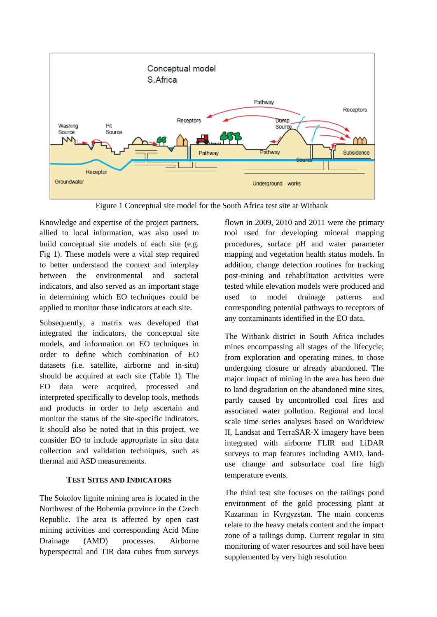

Figure 1 Conceptual site model for the South Africa test site at Witbank

Knowledge and expertise of the project partners, allied to local information, was also used to build conceptual site models of each site (e.g. Fig 1). These models were a vital step required to better understand the context and interplay between the environmental and societal indicators, and also served as an important stage in determining which EO techniques could be applied to monitor those indicators at each site.

Subsequently, a matrix was developed that integrated the indicators, the conceptual site models, and information on EO techniques in order to define which combination of EO datasets (i.e. satellite, airborne and in-situ) should be acquired at each site (Table 1). The EO data were acquired, processed and interpreted specifically to develop tools, methods and products in order to help ascertain and monitor the status of the site-specific indicators. It should also be noted that in this project, we consider EO to include appropriate in situ data collection and validation techniques, such as thermal and ASD measurements.

#### **TEST SITES AND INDICATORS**

The Sokolov lignite mining area is located in the Northwest of the Bohemia province in the Czech Republic. The area is affected by open cast mining activities and corresponding Acid Mine Drainage (AMD) processes. Airborne hyperspectral and TIR data cubes from surveys

flown in 2009, 2010 and 2011 were the primary tool used for developing mineral mapping procedures, surface pH and water parameter mapping and vegetation health status models. In addition, change detection routines for tracking post-mining and rehabilitation activities were tested while elevation models were produced and used to model drainage patterns and corresponding potential pathways to receptors of any contaminants identified in the EO data.

The Witbank district in South Africa includes mines encompassing all stages of the lifecycle; from exploration and operating mines, to those undergoing closure or already abandoned. The major impact of mining in the area has been due to land degradation on the abandoned mine sites, partly caused by uncontrolled coal fires and associated water pollution. Regional and local scale time series analyses based on Worldview II, Landsat and TerraSAR-X imagery have been integrated with airborne FLIR and LiDAR surveys to map features including AMD, landuse change and subsurface coal fire high temperature events.

The third test site focuses on the tailings pond environment of the gold processing plant at Kazarman in Kyrgyzstan. The main concerns relate to the heavy metals content and the impact zone of a tailings dump. Current regular in situ monitoring of water resources and soil have been supplemented by very high resolution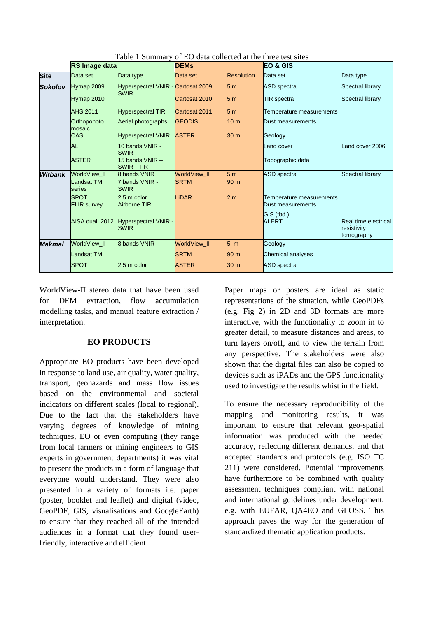|                | <b>RS Image data</b>              |                                                    | <b>DEMs</b>   |                   | <b>EO &amp; GIS</b>                           |                                                   |
|----------------|-----------------------------------|----------------------------------------------------|---------------|-------------------|-----------------------------------------------|---------------------------------------------------|
| <b>Site</b>    | Data set                          | Data type                                          | Data set      | <b>Resolution</b> | Data set                                      | Data type                                         |
| <b>Sokolov</b> | Hymap 2009                        | Hyperspectral VNIR - Cartosat 2009                 |               | 5 <sub>m</sub>    | <b>ASD</b> spectra                            | Spectral library                                  |
|                | Hymap 2010                        | <b>SWIR</b>                                        | Cartosat 2010 | 5 <sub>m</sub>    | <b>TIR</b> spectra                            | Spectral library                                  |
|                | <b>AHS 2011</b>                   | <b>Hyperspectral TIR</b>                           | Cartosat 2011 | 5 <sub>m</sub>    | Temperature measurements                      |                                                   |
|                | Orthopohoto<br>mosaic             | Aerial photographs                                 | <b>GEODIS</b> | 10 <sub>m</sub>   | Dust measurements                             |                                                   |
|                | <b>CASI</b>                       | <b>Hyperspectral VNIR</b>                          | <b>ASTER</b>  | 30 <sub>m</sub>   | Geology                                       |                                                   |
|                | ALI                               | 10 bands VNIR -<br><b>SWIR</b>                     |               |                   | Land cover                                    | Land cover 2006                                   |
|                | <b>ASTER</b>                      | 15 bands VNIR -<br>SWIR - TIR                      |               |                   | Topographic data                              |                                                   |
| <b>Witbank</b> | <b>WorldView II</b>               | 8 bands VNIR                                       | WorldView_II  | 5 <sub>m</sub>    | <b>ASD</b> spectra                            | Spectral library                                  |
|                | <b>Landsat TM</b><br>series       | 7 bands VNIR -<br><b>SWIR</b>                      | <b>SRTM</b>   | 90 <sub>m</sub>   |                                               |                                                   |
|                | <b>SPOT</b><br><b>FLIR survey</b> | 2.5 m color<br>Airborne TIR                        | <b>LiDAR</b>  | 2 <sub>m</sub>    | Temperature measurements<br>Dust measurements |                                                   |
|                |                                   |                                                    |               |                   | GIS (tbd.)                                    |                                                   |
|                |                                   | AISA dual 2012 Hyperspectral VNIR -<br><b>SWIR</b> |               |                   | <b>ALERT</b>                                  | Real time electrical<br>resistivity<br>tomography |
| <b>Makmal</b>  | WorldView_II                      | 8 bands VNIR                                       | WorldView_II  | 5 <sub>m</sub>    | Geology                                       |                                                   |
|                | <b>Landsat TM</b>                 |                                                    | <b>SRTM</b>   | 90 <sub>m</sub>   | <b>Chemical analyses</b>                      |                                                   |
|                | <b>SPOT</b>                       | 2.5 m color                                        | <b>ASTER</b>  | 30 <sub>m</sub>   | <b>ASD</b> spectra                            |                                                   |

Table 1 Summary of EO data collected at the three test sites

WorldView-II stereo data that have been used for DEM extraction, flow accumulation modelling tasks, and manual feature extraction / interpretation.

### **EO PRODUCTS**

Appropriate EO products have been developed in response to land use, air quality, water quality, transport, geohazards and mass flow issues based on the environmental and societal indicators on different scales (local to regional). Due to the fact that the stakeholders have varying degrees of knowledge of mining techniques, EO or even computing (they range from local farmers or mining engineers to GIS experts in government departments) it was vital to present the products in a form of language that everyone would understand. They were also presented in a variety of formats i.e. paper (poster, booklet and leaflet) and digital (video, GeoPDF, GIS, visualisations and GoogleEarth) to ensure that they reached all of the intended audiences in a format that they found userfriendly, interactive and efficient.

Paper maps or posters are ideal as static representations of the situation, while GeoPDFs (e.g. Fig 2) in 2D and 3D formats are more interactive, with the functionality to zoom in to greater detail, to measure distances and areas, to turn layers on/off, and to view the terrain from any perspective. The stakeholders were also shown that the digital files can also be copied to devices such as iPADs and the GPS functionality used to investigate the results whist in the field.

To ensure the necessary reproducibility of the mapping and monitoring results, it was important to ensure that relevant geo-spatial information was produced with the needed accuracy, reflecting different demands, and that accepted standards and protocols (e.g. ISO TC 211) were considered. Potential improvements have furthermore to be combined with quality assessment techniques compliant with national and international guidelines under development, e.g. with EUFAR, QA4EO and GEOSS. This approach paves the way for the generation of standardized thematic application products.